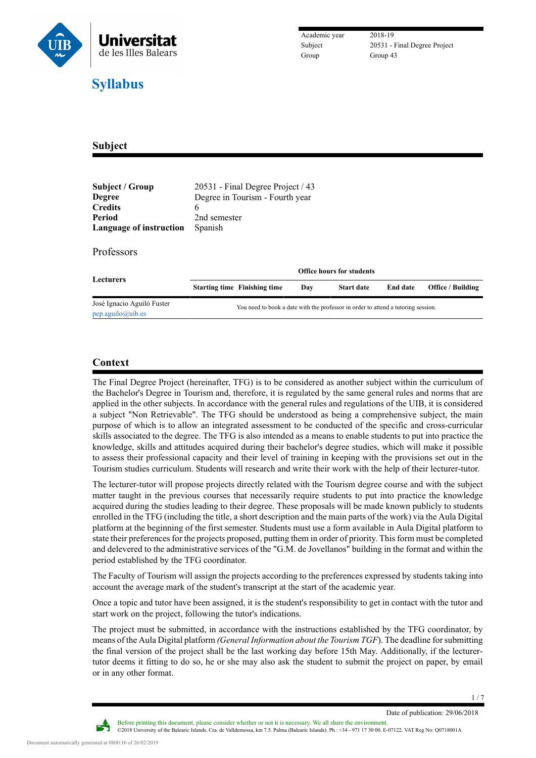

Subject 20531 - Final Degree Project

# **Subject**

| Subject / Group<br><b>Degree</b><br><b>Credits</b><br>Period<br>Language of instruction | 20531 - Final Degree Project / 43<br>Degree in Tourism - Fourth year<br>6<br>2nd semester<br>Spanish |                                                                                   |     |                   |                 |                          |  |
|-----------------------------------------------------------------------------------------|------------------------------------------------------------------------------------------------------|-----------------------------------------------------------------------------------|-----|-------------------|-----------------|--------------------------|--|
| Professors                                                                              |                                                                                                      |                                                                                   |     |                   |                 |                          |  |
| <b>Lecturers</b>                                                                        | <b>Office hours for students</b>                                                                     |                                                                                   |     |                   |                 |                          |  |
|                                                                                         |                                                                                                      | <b>Starting time Finishing time</b>                                               | Day | <b>Start date</b> | <b>End date</b> | <b>Office / Building</b> |  |
| José Ignacio Aguiló Fuster<br>pep.aguilo@uib.es                                         |                                                                                                      | You need to book a date with the professor in order to attend a tutoring session. |     |                   |                 |                          |  |

## **Context**

The Final Degree Project (hereinafter, TFG) is to be considered as another subject within the curriculum of the Bachelor's Degree in Tourism and, therefore, it is regulated by the same general rules and norms that are applied in the other subjects. In accordance with the general rules and regulations of the UIB, it is considered a subject "Non Retrievable". The TFG should be understood as being a comprehensive subject, the main purpose of which is to allow an integrated assessment to be conducted of the specific and cross-curricular skills associated to the degree. The TFG is also intended as a means to enable students to put into practice the knowledge, skills and attitudes acquired during their bachelor's degree studies, which will make it possible to assess their professional capacity and their level of training in keeping with the provisions set out in the Tourism studies curriculum. Students will research and write their work with the help of their lecturer-tutor.

The lecturer-tutor will propose projects directly related with the Tourism degree course and with the subject matter taught in the previous courses that necessarily require students to put into practice the knowledge acquired during the studies leading to their degree. These proposals will be made known publicly to students enrolled in the TFG (including the title, a short description and the main parts of the work) via the Aula Digital platform at the beginning of the first semester. Students must use a form available in Aula Digital platform to state their preferences for the projects proposed, putting them in order of priority. This form must be completed and delevered to the administrative services of the "G.M. de Jovellanos" building in the format and within the period established by the TFG coordinator.

The Faculty of Tourism will assign the projects according to the preferences expressed by students taking into account the average mark of the student's transcript at the start of the academic year.

Once a topic and tutor have been assigned, it is the student's responsibility to get in contact with the tutor and start work on the project, following the tutor's indications.

The project must be submitted, in accordance with the instructions established by the TFG coordinator, by means of the Aula Digital platform *(General Information about the Tourism TGF*). The deadline for submitting the final version of the project shall be the last working day before 15th May. Additionally, if the lecturertutor deems it fitting to do so, he or she may also ask the student to submit the project on paper, by email or in any other format.

Date of publication: 29/06/2018



Before printing this document, please consider whether or not it is necessary. We all share the environment. ©2018 University of the Balearic Islands. Cra. de Valldemossa, km 7.5. Palma (Balearic Islands). Ph.: +34 - 971 17 30 00. E-07122. VAT Reg No: Q0718001A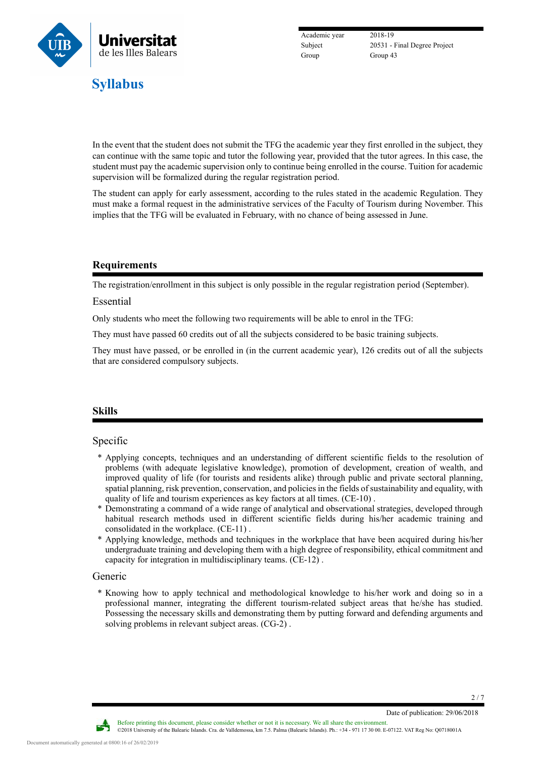

Academic year 2018-19 Group 43

Subject 20531 - Final Degree Project

### In the event that the student does not submit the TFG the academic year they first enrolled in the subject, they can continue with the same topic and tutor the following year, provided that the tutor agrees. In this case, the student must pay the academic supervision only to continue being enrolled in the course. Tuition for academic supervision will be formalized during the regular registration period.

The student can apply for early assessment, according to the rules stated in the academic Regulation. They must make a formal request in the administrative services of the Faculty of Tourism during November. This implies that the TFG will be evaluated in February, with no chance of being assessed in June.

## **Requirements**

The registration/enrollment in this subject is only possible in the regular registration period (September).

#### Essential

Only students who meet the following two requirements will be able to enrol in the TFG:

They must have passed 60 credits out of all the subjects considered to be basic training subjects.

They must have passed, or be enrolled in (in the current academic year), 126 credits out of all the subjects that are considered compulsory subjects.

## **Skills**

## Specific

- \* Applying concepts, techniques and an understanding of different scientific fields to the resolution of problems (with adequate legislative knowledge), promotion of development, creation of wealth, and improved quality of life (for tourists and residents alike) through public and private sectoral planning, spatial planning, risk prevention, conservation, and policies in the fields of sustainability and equality, with quality of life and tourism experiences as key factors at all times. (CE-10) .
- \* Demonstrating a command of a wide range of analytical and observational strategies, developed through habitual research methods used in different scientific fields during his/her academic training and consolidated in the workplace. (CE-11) .
- \* Applying knowledge, methods and techniques in the workplace that have been acquired during his/her undergraduate training and developing them with a high degree of responsibility, ethical commitment and capacity for integration in multidisciplinary teams. (CE-12) .

#### Generic

\* Knowing how to apply technical and methodological knowledge to his/her work and doing so in a professional manner, integrating the different tourism-related subject areas that he/she has studied. Possessing the necessary skills and demonstrating them by putting forward and defending arguments and solving problems in relevant subject areas. (CG-2) .

Date of publication: 29/06/2018

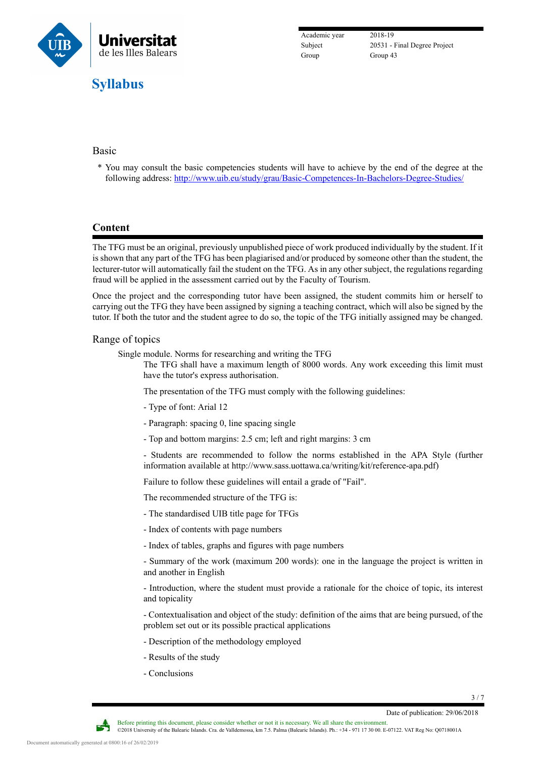

Academic year 2018-19 Group Group 43

Subject 20531 - Final Degree Project

## Basic

\* You may consult the basic competencies students will have to achieve by the end of the degree at the following address: <http://www.uib.eu/study/grau/Basic-Competences-In-Bachelors-Degree-Studies/>

## **Content**

The TFG must be an original, previously unpublished piece of work produced individually by the student. If it is shown that any part of the TFG has been plagiarised and/or produced by someone other than the student, the lecturer-tutor will automatically fail the student on the TFG. As in any other subject, the regulations regarding fraud will be applied in the assessment carried out by the Faculty of Tourism.

Once the project and the corresponding tutor have been assigned, the student commits him or herself to carrying out the TFG they have been assigned by signing a teaching contract, which will also be signed by the tutor. If both the tutor and the student agree to do so, the topic of the TFG initially assigned may be changed.

### Range of topics

Single module. Norms for researching and writing the TFG

The TFG shall have a maximum length of 8000 words. Any work exceeding this limit must have the tutor's express authorisation.

The presentation of the TFG must comply with the following guidelines:

- Type of font: Arial 12
- Paragraph: spacing 0, line spacing single
- Top and bottom margins: 2.5 cm; left and right margins: 3 cm

- Students are recommended to follow the norms established in the APA Style (further information available at http://www.sass.uottawa.ca/writing/kit/reference-apa.pdf)

Failure to follow these guidelines will entail a grade of "Fail".

The recommended structure of the TFG is:

- The standardised UIB title page for TFGs

- Index of contents with page numbers

- Index of tables, graphs and figures with page numbers

- Summary of the work (maximum 200 words): one in the language the project is written in and another in English

- Introduction, where the student must provide a rationale for the choice of topic, its interest and topicality

- Contextualisation and object of the study: definition of the aims that are being pursued, of the problem set out or its possible practical applications

- Description of the methodology employed
- Results of the study
- Conclusions

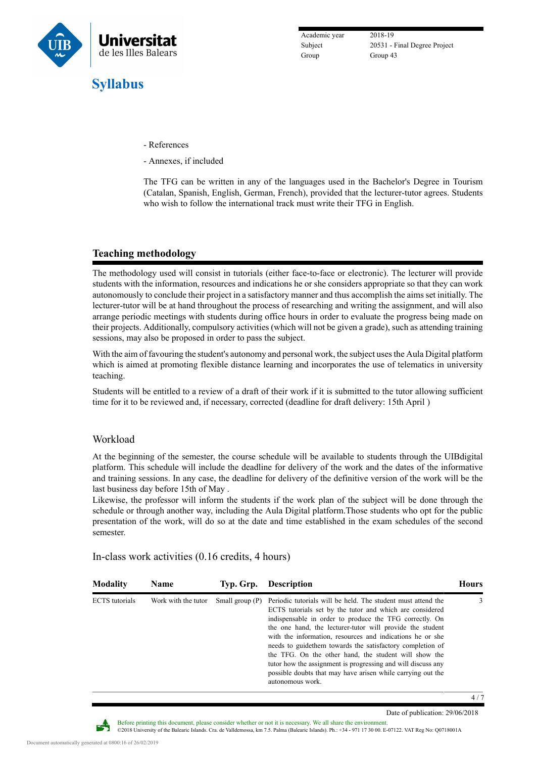

Academic year 2018-19 Group 43

Subject 20531 - Final Degree Project

- References
- Annexes, if included

The TFG can be written in any of the languages used in the Bachelor's Degree in Tourism (Catalan, Spanish, English, German, French), provided that the lecturer-tutor agrees. Students who wish to follow the international track must write their TFG in English.

## **Teaching methodology**

The methodology used will consist in tutorials (either face-to-face or electronic). The lecturer will provide students with the information, resources and indications he or she considers appropriate so that they can work autonomously to conclude their project in a satisfactory manner and thus accomplish the aims set initially. The lecturer-tutor will be at hand throughout the process of researching and writing the assignment, and will also arrange periodic meetings with students during office hours in order to evaluate the progress being made on their projects. Additionally, compulsory activities (which will not be given a grade), such as attending training sessions, may also be proposed in order to pass the subject.

With the aim of favouring the student's autonomy and personal work, the subject uses the Aula Digital platform which is aimed at promoting flexible distance learning and incorporates the use of telematics in university teaching.

Students will be entitled to a review of a draft of their work if it is submitted to the tutor allowing sufficient time for it to be reviewed and, if necessary, corrected (deadline for draft delivery: 15th April )

#### Workload

At the beginning of the semester, the course schedule will be available to students through the UIBdigital platform. This schedule will include the deadline for delivery of the work and the dates of the informative and training sessions. In any case, the deadline for delivery of the definitive version of the work will be the last business day before 15th of May .

Likewise, the professor will inform the students if the work plan of the subject will be done through the schedule or through another way, including the Aula Digital platform.Those students who opt for the public presentation of the work, will do so at the date and time established in the exam schedules of the second semester.

| <b>Modality</b>       | <b>Name</b>         | Typ. Grp.         | <b>Description</b>                                                                                                                                                                                                                                                                                                                                                                                                                                                                                                                                                                      | Hours |
|-----------------------|---------------------|-------------------|-----------------------------------------------------------------------------------------------------------------------------------------------------------------------------------------------------------------------------------------------------------------------------------------------------------------------------------------------------------------------------------------------------------------------------------------------------------------------------------------------------------------------------------------------------------------------------------------|-------|
| <b>ECTS</b> tutorials | Work with the tutor | Small group $(P)$ | Periodic tutorials will be held. The student must attend the<br>ECTS tutorials set by the tutor and which are considered<br>indispensable in order to produce the TFG correctly. On<br>the one hand, the lecturer-tutor will provide the student<br>with the information, resources and indications he or she<br>needs to guide them towards the satisfactory completion of<br>the TFG. On the other hand, the student will show the<br>tutor how the assignment is progressing and will discuss any<br>possible doubts that may have arisen while carrying out the<br>autonomous work. | 3     |

In-class work activities (0.16 credits, 4 hours)



Date of publication: 29/06/2018

Before printing this document, please consider whether or not it is necessary. We all share the environment. ©2018 University of the Balearic Islands. Cra. de Valldemossa, km 7.5. Palma (Balearic Islands). Ph.: +34 - 971 17 30 00. E-07122. VAT Reg No: Q0718001A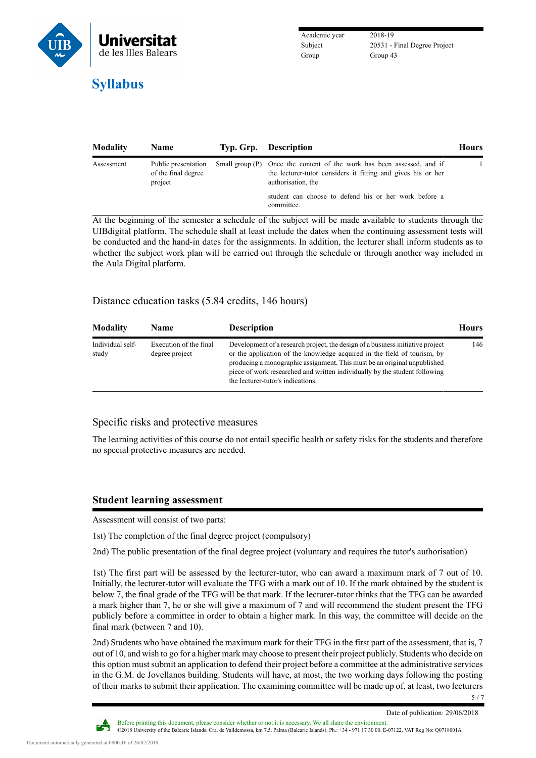

Academic year 2018-19 Group Group 43

Subject 20531 - Final Degree Project

| <b>Modality</b> | <b>Name</b>                                           | Typ. Grp. Description                                                                                                                                        | <b>Hours</b> |
|-----------------|-------------------------------------------------------|--------------------------------------------------------------------------------------------------------------------------------------------------------------|--------------|
| Assessment      | Public presentation<br>of the final degree<br>project | Small group (P) Once the content of the work has been assessed, and if<br>the lecturer-tutor considers it fitting and gives his or her<br>authorisation, the |              |
|                 |                                                       | student can choose to defend his or her work before a<br>committee.                                                                                          |              |

At the beginning of the semester a schedule of the subject will be made available to students through the UIBdigital platform. The schedule shall at least include the dates when the continuing assessment tests will be conducted and the hand-in dates for the assignments. In addition, the lecturer shall inform students as to whether the subject work plan will be carried out through the schedule or through another way included in the Aula Digital platform.

## Distance education tasks (5.84 credits, 146 hours)

| <b>Modality</b>           | <b>Name</b>                              | <b>Description</b>                                                                                                                                                                                                                                                                                                                                        | <b>Hours</b> |
|---------------------------|------------------------------------------|-----------------------------------------------------------------------------------------------------------------------------------------------------------------------------------------------------------------------------------------------------------------------------------------------------------------------------------------------------------|--------------|
| Individual self-<br>study | Execution of the final<br>degree project | Development of a research project, the design of a business initiative project<br>or the application of the knowledge acquired in the field of tourism, by<br>producing a monographic assignment. This must be an original unpublished<br>piece of work researched and written individually by the student following<br>the lecturer-tutor's indications. | 146          |

## Specific risks and protective measures

The learning activities of this course do not entail specific health or safety risks for the students and therefore no special protective measures are needed.

## **Student learning assessment**

Assessment will consist of two parts:

1st) The completion of the final degree project (compulsory)

2nd) The public presentation of the final degree project (voluntary and requires the tutor's authorisation)

1st) The first part will be assessed by the lecturer-tutor, who can award a maximum mark of 7 out of 10. Initially, the lecturer-tutor will evaluate the TFG with a mark out of 10. If the mark obtained by the student is below 7, the final grade of the TFG will be that mark. If the lecturer-tutor thinks that the TFG can be awarded a mark higher than 7, he or she will give a maximum of 7 and will recommend the student present the TFG publicly before a committee in order to obtain a higher mark. In this way, the committee will decide on the final mark (between 7 and 10).

2nd) Students who have obtained the maximum mark for their TFG in the first part of the assessment, that is, 7 out of 10, and wish to go for a higher mark may choose to present their project publicly. Students who decide on this option must submit an application to defend their project before a committee at the administrative services in the G.M. de Jovellanos building. Students will have, at most, the two working days following the posting of their marks to submit their application. The examining committee will be made up of, at least, two lecturers



Date of publication: 29/06/2018

5 / 7

Before printing this document, please consider whether or not it is necessary. We all share the environment. ©2018 University of the Balearic Islands. Cra. de Valldemossa, km 7.5. Palma (Balearic Islands). Ph.: +34 - 971 17 30 00. E-07122. VAT Reg No: Q0718001A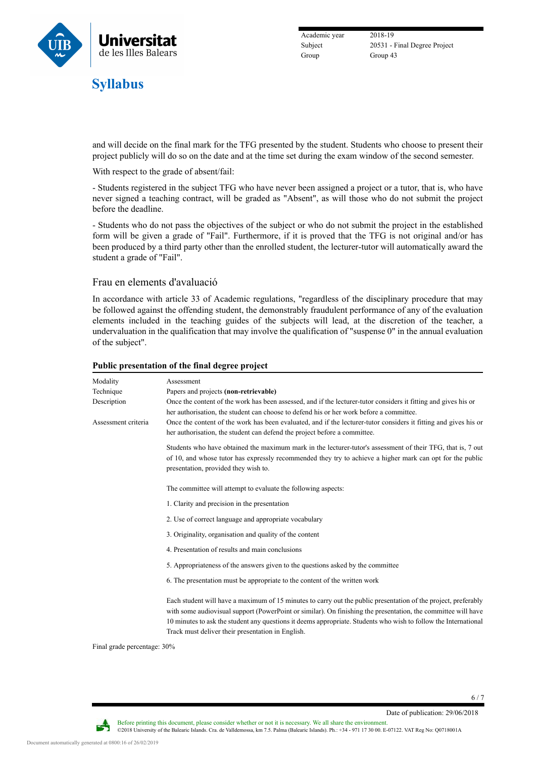

Academic year 2018-19 Group Group 43

Subject 20531 - Final Degree Project

and will decide on the final mark for the TFG presented by the student. Students who choose to present their project publicly will do so on the date and at the time set during the exam window of the second semester.

With respect to the grade of absent/fail:

- Students registered in the subject TFG who have never been assigned a project or a tutor, that is, who have never signed a teaching contract, will be graded as "Absent", as will those who do not submit the project before the deadline.

- Students who do not pass the objectives of the subject or who do not submit the project in the established form will be given a grade of "Fail". Furthermore, if it is proved that the TFG is not original and/or has been produced by a third party other than the enrolled student, the lecturer-tutor will automatically award the student a grade of "Fail".

#### Frau en elements d'avaluació

In accordance with article 33 of [Academic regulations,](https://seu.uib.cat/fou/acord/12741/) "regardless of the disciplinary procedure that may be followed against the offending student, the demonstrably fraudulent performance of any of the evaluation elements included in the teaching guides of the subjects will lead, at the discretion of the teacher, a undervaluation in the qualification that may involve the qualification of "suspense 0" in the annual evaluation of the subject".

| Modality            | Assessment                                                                                                                                                                                                                                                                                                                                                                                              |  |  |  |  |
|---------------------|---------------------------------------------------------------------------------------------------------------------------------------------------------------------------------------------------------------------------------------------------------------------------------------------------------------------------------------------------------------------------------------------------------|--|--|--|--|
| Technique           | Papers and projects (non-retrievable)                                                                                                                                                                                                                                                                                                                                                                   |  |  |  |  |
| Description         | Once the content of the work has been assessed, and if the lecturer-tutor considers it fitting and gives his or                                                                                                                                                                                                                                                                                         |  |  |  |  |
|                     | her authorisation, the student can choose to defend his or her work before a committee.                                                                                                                                                                                                                                                                                                                 |  |  |  |  |
| Assessment criteria | Once the content of the work has been evaluated, and if the lecturer-tutor considers it fitting and gives his or<br>her authorisation, the student can defend the project before a committee.                                                                                                                                                                                                           |  |  |  |  |
|                     | Students who have obtained the maximum mark in the lecturer-tutor's assessment of their TFG, that is, 7 out<br>of 10, and whose tutor has expressly recommended they try to achieve a higher mark can opt for the public<br>presentation, provided they wish to.                                                                                                                                        |  |  |  |  |
|                     | The committee will attempt to evaluate the following aspects:                                                                                                                                                                                                                                                                                                                                           |  |  |  |  |
|                     | 1. Clarity and precision in the presentation                                                                                                                                                                                                                                                                                                                                                            |  |  |  |  |
|                     | 2. Use of correct language and appropriate vocabulary                                                                                                                                                                                                                                                                                                                                                   |  |  |  |  |
|                     | 3. Originality, organisation and quality of the content                                                                                                                                                                                                                                                                                                                                                 |  |  |  |  |
|                     | 4. Presentation of results and main conclusions                                                                                                                                                                                                                                                                                                                                                         |  |  |  |  |
|                     | 5. Appropriateness of the answers given to the questions asked by the committee                                                                                                                                                                                                                                                                                                                         |  |  |  |  |
|                     | 6. The presentation must be appropriate to the content of the written work                                                                                                                                                                                                                                                                                                                              |  |  |  |  |
|                     | Each student will have a maximum of 15 minutes to carry out the public presentation of the project, preferably<br>with some audiovisual support (PowerPoint or similar). On finishing the presentation, the committee will have<br>10 minutes to ask the student any questions it deems appropriate. Students who wish to follow the International<br>Track must deliver their presentation in English. |  |  |  |  |
|                     |                                                                                                                                                                                                                                                                                                                                                                                                         |  |  |  |  |

Before printing this document, please consider whether or not it is necessary. We all share the environment.

©2018 University of the Balearic Islands. Cra. de Valldemossa, km 7.5. Palma (Balearic Islands). Ph.: +34 - 971 17 30 00. E-07122. VAT Reg No: Q0718001A

#### **Public presentation of the final degree project**

Final grade percentage: 30%

Date of publication: 29/06/2018